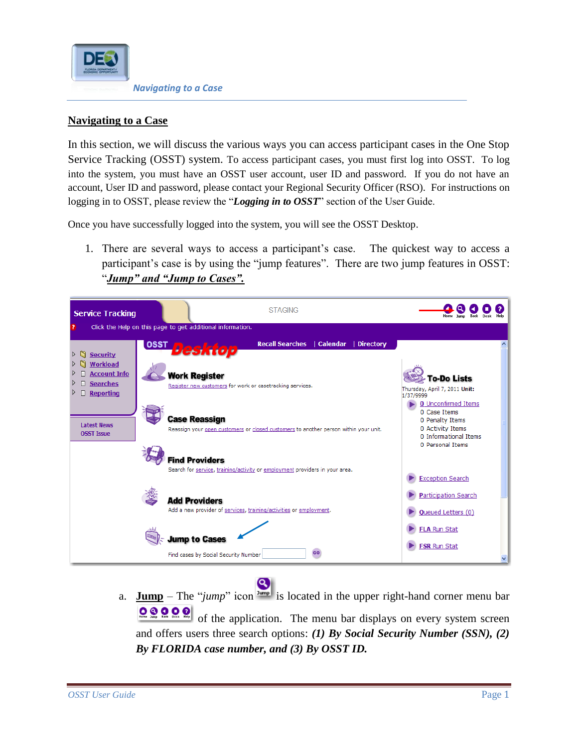

In this section, we will discuss the various ways you can access participant cases in the One Stop Service Tracking (OSST) system. To access participant cases, you must first log into OSST. To log into the system, you must have an OSST user account, user ID and password. If you do not have an account, User ID and password, please contact your Regional Security Officer (RSO). For instructions on logging in to OSST, please review the "*Logging in to OSST*" section of the User Guide.

Once you have successfully logged into the system, you will see the OSST Desktop.

1. There are several ways to access a participant's case. The quickest way to access a participant's case is by using the "jump features". There are two jump features in OSST: "*Jump" and "Jump to Cases".*



B a. **Jump** – The "*jump*" icon  $\frac{3 \text{ump}}{2}$  is located in the upper right-hand corner menu bar  $\begin{array}{|c|c|c|c|}\hline \textbf{O} & \textbf{O} & \textbf{O} & \textbf{O} & \textbf{O} & \textbf{O} & \textbf{O} & \textbf{O} & \textbf{O} & \textbf{O} & \textbf{O} & \textbf{O} & \textbf{O} & \textbf{O} & \textbf{O} & \textbf{O} & \textbf{O} & \textbf{O} & \textbf{O} & \textbf{O} & \textbf{O} & \textbf{O} & \textbf{O} & \textbf{O} & \textbf{O} & \textbf{O} & \textbf{O} & \textbf{O} & \textbf{O} &$ of the application. The menu bar displays on every system screen and offers users three search options: *(1) By Social Security Number (SSN), (2) By FLORIDA case number, and (3) By OSST ID.*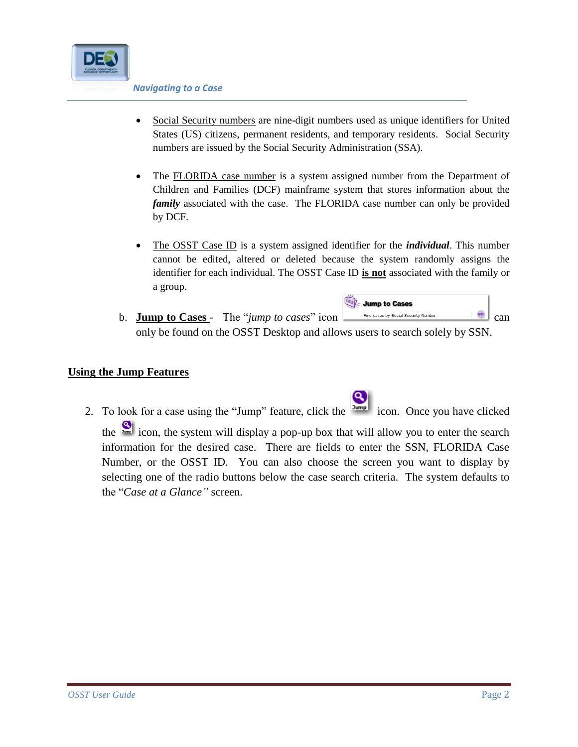

- Social Security numbers are nine-digit numbers used as unique identifiers for United States (US) citizens, permanent residents, and temporary residents. Social Security numbers are issued by the Social Security Administration (SSA).
- The FLORIDA case number is a system assigned number from the Department of Children and Families (DCF) mainframe system that stores information about the *family* associated with the case. The FLORIDA case number can only be provided by DCF.
- The OSST Case ID is a system assigned identifier for the *individual*. This number cannot be edited, altered or deleted because the system randomly assigns the identifier for each individual. The OSST Case ID **is not** associated with the family or a group.
- Jump to Cases **b. Jump to Cases** - The "*jump to cases*" icon  $\begin{bmatrix} \text{Find cases by Social Security Number} \\ \text{1} \end{bmatrix}$  can only be found on the OSST Desktop and allows users to search solely by SSN.

Q

## **Using the Jump Features**

2. To look for a case using the "Jump" feature, click the icon. Once you have clicked the **independent of the system will display a pop-up box that will allow you to enter the search** information for the desired case. There are fields to enter the SSN, FLORIDA Case Number, or the OSST ID. You can also choose the screen you want to display by selecting one of the radio buttons below the case search criteria. The system defaults to the "*Case at a Glance"* screen.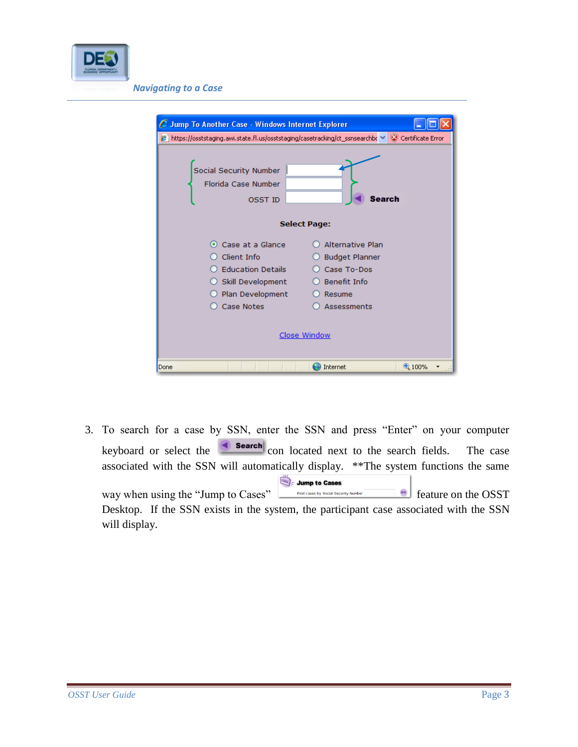

| C Jump To Another Case - Windows Internet Explorer                                                                                                                                                                                                   |                     |       |  |  |  |
|------------------------------------------------------------------------------------------------------------------------------------------------------------------------------------------------------------------------------------------------------|---------------------|-------|--|--|--|
| $\bm{\beta}$ https://osststaging.awi.state.fl.us/osststaging/casetracking/ct_ssnsearchbc $\vee$ $\ket{\mathbb{Q}}$ Certificate Error                                                                                                                 |                     |       |  |  |  |
| Social Security Number<br><b>Florida Case Number</b><br>Search<br><b>OSST ID</b>                                                                                                                                                                     |                     |       |  |  |  |
|                                                                                                                                                                                                                                                      | <b>Select Page:</b> |       |  |  |  |
| Alternative Plan<br>Case at a Glance<br>$\bullet$<br>Client Info<br><b>Budget Planner</b><br><b>Education Details</b><br>Case To-Dos<br>Skill Development<br>Benefit Info<br>Plan Development<br>Resume<br>Case Notes<br>Assessments<br>Close Window |                     |       |  |  |  |
| Done                                                                                                                                                                                                                                                 | Internet            | 4100% |  |  |  |

3. To search for a case by SSN, enter the SSN and press "Enter" on your computer keyboard or select the  $\left| \bullet \right|$  search con located next to the search fields. The case associated with the SSN will automatically display. \*\*The system functions the same Jump to Cases way when using the "Jump to Cases" Find cases by Social Security Number enter and the OSST Desktop. If the SSN exists in the system, the participant case associated with the SSN will display.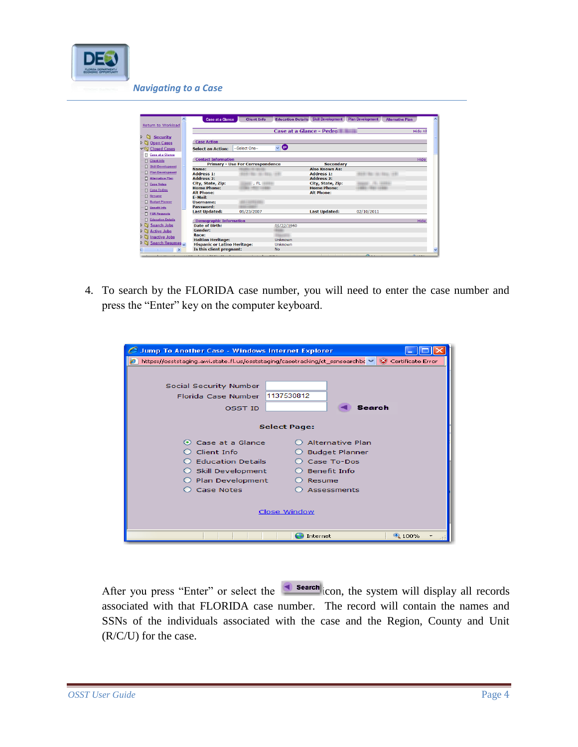

| ㅅ                          | Case at a Glance                    | <b>Client Info</b>                      | <b>Education Details</b>  | <b>Skill Development</b> | <b>Plan Development</b>    | <b>Alternative Plan</b> |
|----------------------------|-------------------------------------|-----------------------------------------|---------------------------|--------------------------|----------------------------|-------------------------|
| Return to Workload         |                                     |                                         |                           |                          |                            |                         |
|                            |                                     |                                         |                           | Case at a Glance - Pedro |                            | <b>Hide All</b>         |
| <b>Security</b><br>n       |                                     |                                         |                           |                          |                            |                         |
| ÞΠ<br><b>Open Cases</b>    | <b>Case Action</b>                  |                                         |                           |                          |                            |                         |
| <b>▽Sy Closed Cases</b>    | <b>Select an Action:</b>            | -Select One-                            | $\bullet$<br>$\checkmark$ |                          |                            |                         |
| <b>El Case at a Glance</b> |                                     |                                         |                           |                          |                            |                         |
| $\Box$ Client Info         | <b>Contact Information</b>          |                                         |                           |                          |                            | Hide                    |
| Skill Development          |                                     | <b>Primary - Use For Correspondence</b> |                           | <b>Secondary</b>         |                            |                         |
|                            | Name:                               |                                         |                           | <b>Also Known As:</b>    |                            |                         |
| Plan Development           | <b>Address 1:</b>                   | 4944188114411881111144                  |                           | <b>Address 1:</b>        | 499-1403 1-441 99101-1-4-4 |                         |
| Alternative Plan           | <b>Address 2:</b>                   |                                         |                           | <b>Address 2:</b>        |                            |                         |
| <b>El Case Notes</b>       | City, State, Zip:                   | ant , FL willie                         |                           | City, State, Zip:        | ------                     |                         |
| Case To-Dos                | <b>Home Phone:</b>                  | <b>INSTITUTE CARD RESERVE</b>           |                           | <b>Home Phone:</b>       | <b>GALL LANGE</b>          |                         |
| $\Box$ Resume              | <b>Alt Phone:</b>                   |                                         |                           | <b>Alt Phone:</b>        |                            |                         |
|                            | E-Mail:                             |                                         |                           |                          |                            |                         |
| <b>Budget Planner</b>      | <b>Username:</b>                    |                                         |                           |                          |                            |                         |
| $\Box$ Benefit Info        | Password:                           |                                         |                           |                          |                            |                         |
| <b>FSR Requests</b>        | <b>Last Updated:</b>                | 05/23/2007                              |                           | <b>Last Updated:</b>     | 02/10/2011                 |                         |
| <b>Education Details</b>   | <b>Demographic Information</b>      |                                         |                           |                          |                            | <b>Hide</b>             |
| ٥n<br><b>Search Jobs</b>   | Date of Birth:                      |                                         | 05/22/1960                |                          |                            |                         |
| ٥n<br><b>Active Jobs</b>   | Gender:                             |                                         |                           |                          |                            |                         |
| <b>Inactive Jobs</b><br>ÞΝ | Race:                               |                                         |                           |                          |                            |                         |
|                            | <b>Haitian Heritage:</b>            |                                         | Unknown                   |                          |                            |                         |
| ٥n<br>Search Resumes       | <b>Hispanic or Latino Heritage:</b> |                                         | Unknown                   |                          |                            |                         |
|                            | Is this client pregnant:            |                                         | <b>No</b>                 |                          |                            |                         |

4. To search by the FLORIDA case number, you will need to enter the case number and press the "Enter" key on the computer keyboard.

| <b>Jump To Another Case - Windows Internet Explorer</b> |                                                                                                        |
|---------------------------------------------------------|--------------------------------------------------------------------------------------------------------|
|                                                         | https://osststaging.awi.state.fl.us/osststaging/casetracking/ct_ssnsearchbc $\lor$ M Certificate Error |
|                                                         |                                                                                                        |
|                                                         |                                                                                                        |
| Social Security Number                                  |                                                                                                        |
| <b>Florida Case Number</b>                              | 1137530812                                                                                             |
| <b>OSST ID</b>                                          | Search                                                                                                 |
|                                                         |                                                                                                        |
|                                                         | <b>Select Page:</b>                                                                                    |
| Case at a Glance<br>$\circ$                             | <b>Alternative Plan</b>                                                                                |
| Client Info                                             | <b>Budget Planner</b>                                                                                  |
| <b>Education Details</b>                                | Case To-Dos                                                                                            |
| Skill Development                                       | Benefit Info                                                                                           |
| Plan Development                                        | Resume                                                                                                 |
| Case Notes                                              | Assessments                                                                                            |
|                                                         |                                                                                                        |
|                                                         |                                                                                                        |
|                                                         | Close Window                                                                                           |
|                                                         |                                                                                                        |
|                                                         | 9,100%<br>Internet                                                                                     |

After you press "Enter" or select the  $\Box$  search con, the system will display all records associated with that FLORIDA case number. The record will contain the names and SSNs of the individuals associated with the case and the Region, County and Unit (R/C/U) for the case.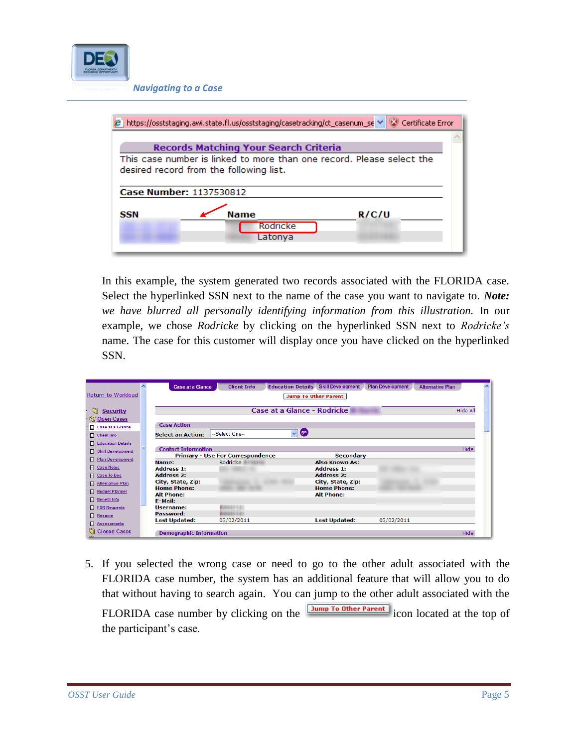

|            | https://osststaging.awi.state.fl.us/osststaging/casetracking/ct_casenum_se →                                     | Certificate Error |  |  |  |  |  |
|------------|------------------------------------------------------------------------------------------------------------------|-------------------|--|--|--|--|--|
|            | <b>Records Matching Your Search Criteria</b>                                                                     |                   |  |  |  |  |  |
|            | This case number is linked to more than one record. Please select the<br>desired record from the following list. |                   |  |  |  |  |  |
|            | Case Number: 1137530812                                                                                          |                   |  |  |  |  |  |
| <b>SSN</b> | <b>Name</b><br>Rodricke<br>Latonya                                                                               | R/C/U             |  |  |  |  |  |

In this example, the system generated two records associated with the FLORIDA case. Select the hyperlinked SSN next to the name of the case you want to navigate to. *Note: we have blurred all personally identifying information from this illustration.* In our example, we chose *Rodricke* by clicking on the hyperlinked SSN next to *Rodricke's* name. The case for this customer will display once you have clicked on the hyperlinked SSN.

|                         | $\lambda$<br><b>Case at a Glance</b> | <b>Client Info</b>                      | <b>Skill Development</b><br><b>Education Details</b> | <b>Plan Development</b> | <b>Alternative Plan</b> |
|-------------------------|--------------------------------------|-----------------------------------------|------------------------------------------------------|-------------------------|-------------------------|
| Return to Workload      |                                      |                                         | <b>Jump To Other Parent</b>                          |                         |                         |
|                         |                                      |                                         |                                                      |                         |                         |
| n<br><b>Security</b>    |                                      |                                         | <b>Case at a Glance - Rodricke</b>                   |                         | Hide All                |
| Open Cases              |                                      |                                         |                                                      |                         |                         |
| Case at a Glance        | <b>Case Action</b>                   |                                         |                                                      |                         |                         |
| Client Info             | <b>Select an Action:</b>             | --Select One--                          | <b>go</b><br>$\ddotmark$                             |                         |                         |
| Education Details       |                                      |                                         |                                                      |                         |                         |
| Skill Development       | <b>Contact Information</b>           |                                         |                                                      |                         | <b>Hide</b>             |
| <b>Plan Development</b> |                                      | <b>Primary - Use For Correspondence</b> | <b>Secondary</b>                                     |                         |                         |
|                         | Name:                                | Rodricke                                | <b>Also Known As:</b>                                |                         |                         |
| Case Notes              | <b>Address 1:</b>                    |                                         | <b>Address 1:</b>                                    |                         |                         |
| Case To-Dos             | <b>Address 2:</b>                    |                                         | <b>Address 2:</b>                                    |                         |                         |
| Alternative Plan        | City, State, Zip:                    |                                         | City, State, Zip:                                    |                         |                         |
| <b>Budget Planner</b>   | <b>Home Phone:</b>                   |                                         | <b>Home Phone:</b>                                   |                         |                         |
|                         | <b>Alt Phone:</b>                    |                                         | <b>Alt Phone:</b>                                    |                         |                         |
| <b>Benefit Info</b>     | E-Mail:                              |                                         |                                                      |                         |                         |
| <b>FSR Requests</b>     | Username:                            | .                                       |                                                      |                         |                         |
| Resume                  | Password:                            |                                         |                                                      |                         |                         |
| Assessments             | <b>Last Updated:</b>                 | 03/02/2011                              | <b>Last Updated:</b>                                 | 03/02/2011              |                         |
| Closed Cases            | <b>Demographic Information</b>       |                                         |                                                      |                         | <b>Hide</b>             |

5. If you selected the wrong case or need to go to the other adult associated with the FLORIDA case number, the system has an additional feature that will allow you to do that without having to search again. You can jump to the other adult associated with the

FLORIDA case number by clicking on the **IMPLE TO Other Parent** icon located at the top of the participant's case.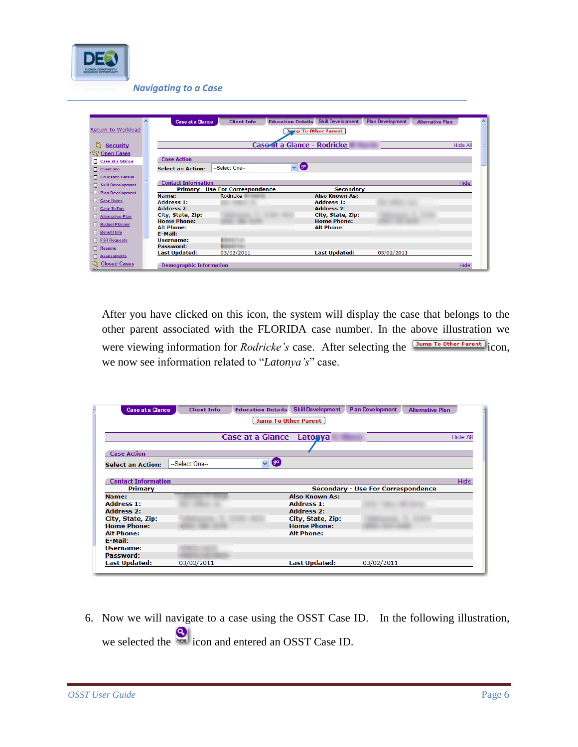

|                          | $\blacktriangle$<br><b>Case at a Glance</b> | <b>Client Info</b>                      | <b>Skill Development</b><br><b>Education Details</b> | <b>Plan Development</b> | <b>Alternative Plan</b><br>$\lambda$ |
|--------------------------|---------------------------------------------|-----------------------------------------|------------------------------------------------------|-------------------------|--------------------------------------|
| Return to Workload       |                                             |                                         | <b>Jump To Other Parent</b>                          |                         |                                      |
|                          |                                             |                                         |                                                      |                         |                                      |
| G<br><b>Security</b>     |                                             |                                         | Case at a Glance - Rodricke                          |                         | <b>Hide All</b>                      |
| Open Cases               |                                             |                                         |                                                      |                         |                                      |
| Case at a Glance         | <b>Case Action</b>                          |                                         |                                                      |                         |                                      |
| <b>Client Info</b>       | <b>Select an Action:</b>                    | --Select One--                          | (go)<br>$\checkmark$                                 |                         |                                      |
| Education Details        |                                             |                                         |                                                      |                         |                                      |
| <b>Skill Development</b> | <b>Contact Information</b>                  |                                         |                                                      |                         | <b>Hide</b>                          |
| <b>Plan Development</b>  |                                             | <b>Primary - Use For Correspondence</b> | <b>Secondary</b>                                     |                         |                                      |
|                          | Name:                                       | <b>Rodricke</b>                         | Also Known As:                                       |                         |                                      |
| Case Notes               | <b>Address 1:</b>                           |                                         | <b>Address 1:</b>                                    |                         |                                      |
| Case To-Dos              | <b>Address 2:</b>                           |                                         | <b>Address 2:</b>                                    |                         |                                      |
| Alternative Plan         | City, State, Zip:                           |                                         | City, State, Zip:                                    |                         |                                      |
|                          | <b>Home Phone:</b>                          |                                         | <b>Home Phone:</b>                                   |                         |                                      |
| <b>F</b> Budget Planner  | <b>Alt Phone:</b>                           |                                         | <b>Alt Phone:</b>                                    |                         |                                      |
| <b>Benefit Info</b>      | <b>F-Mail:</b>                              |                                         |                                                      |                         |                                      |
| FSR Requests             | Username:                                   | <b><i><u>PIRTING LAT</u></i></b>        |                                                      |                         |                                      |
| Resume                   | Password:                                   |                                         |                                                      |                         |                                      |
| Assessments              | Last Updated:                               | 03/02/2011                              | <b>Last Updated:</b>                                 | 03/02/2011              |                                      |
|                          |                                             |                                         |                                                      |                         |                                      |
| <b>Closed Cases</b>      | <b>Demographic Information</b>              |                                         |                                                      |                         | <b>Hide</b>                          |

After you have clicked on this icon, the system will display the case that belongs to the other parent associated with the FLORIDA case number. In the above illustration we were viewing information for *Rodricke's* case. After selecting the **IMPORY COM** icon, we now see information related to "*Latonya's*" case.

| <b>Case at a Glance</b>    | <b>Client Info</b> | <b>Education Details Skill Development</b> | <b>Plan Development</b><br><b>Alternative Plan</b> |
|----------------------------|--------------------|--------------------------------------------|----------------------------------------------------|
|                            |                    | <b>Jump To Other Parent</b>                |                                                    |
|                            |                    | Case at a Glance - Latonya                 | <b>Hide All</b>                                    |
|                            |                    |                                            |                                                    |
| <b>Case Action</b>         |                    |                                            |                                                    |
| <b>Select an Action:</b>   | --Select One--     | <b>go</b><br>v                             |                                                    |
|                            |                    |                                            |                                                    |
| <b>Contact Information</b> |                    |                                            | Hide                                               |
| Primary                    |                    |                                            | Secondary - Use For Correspondence                 |
| Name:                      |                    | <b>Also Known As:</b>                      |                                                    |
| <b>Address 1:</b>          |                    | <b>Address 1:</b>                          |                                                    |
|                            |                    |                                            |                                                    |
| Address 2:                 |                    | <b>Address 2:</b>                          |                                                    |
| City, State, Zip:          |                    | City, State, Zip:                          |                                                    |
| <b>Home Phone:</b>         |                    | <b>Home Phone:</b>                         |                                                    |
| <b>Alt Phone:</b>          |                    | <b>Alt Phone:</b>                          |                                                    |
| <b>F-Mail:</b>             |                    |                                            |                                                    |
| Username:                  |                    |                                            |                                                    |
| Password:                  |                    |                                            |                                                    |

6. Now we will navigate to a case using the OSST Case ID. In the following illustration, we selected the **independent and entered an OSST Case ID.**